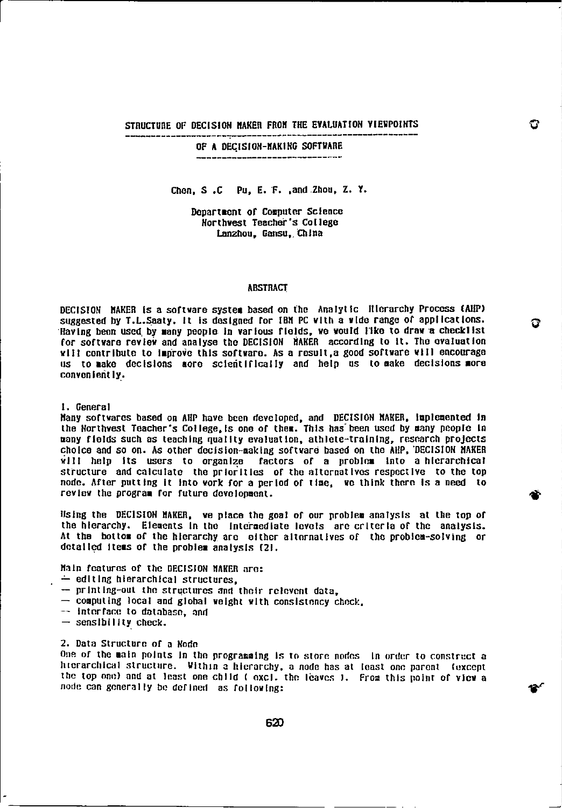STRUCTURE OF DECISION MAKER FROM THE EVALUATION VIEWPOINTS

OF A DECISION-MAKING SOFTWARE

Chen, S.C. Pu, E. F. ,and Zhou, Z. Y.

Department of Computer Science Northwest Teacher's College Lanzhou, Gansu, China

## ABSTRACT

DECISION MAKER is a software system based on the Analytic Hierarchy Process MP/ suggested by T.L.Seaty. It is designed for IBM PC with a wide range of applications. Having been used by many people in various fields, we would like to draw a checklist for software review and analyse the DECISION MAKER according to it. The evaluation will contribute to Improve this software. As a result,a good software will encourage us to make decisions more scientifically and help us to make decisions more conveniently..

## 1. General

Many softwares based on AHP have been developed, and DECISION MAKER, implemented In the Northwest Teacher's College,is one of them. This has'been used by many people In many fields such as teaching quality evaluation, athlete-training, research projects choice and so on. As other decision-making software based on the AIN), 'DECISION MAKER will help its users to organize factors of a problem into a hierarchical structure and calculate the priorities of the alternatives respective to the top node. After putting it into work for a period of time, we think there Is a need to review the program for future development.

Using the DECISION MAKER, we place the goal of our problem analysis at the top of the hierarchy. Elements In the intermediate levels are criteria of the analysts. At the bottom of the hierarchy are either alternatives of the problem-solving or detailed items of the problem analysis 121.

Main features of the DECISION MAKER are:

- $\div$  editing hierarchical structures.
- $-$  printing-out the structures and their relevent data.
- $-$  computing local and global weight with consistency check.<br>-- interface to database, and
- 
- $-$  sensibility check.

2. Data Structure of a Node<br>One of the main points in the programming is to store nodes. In order to construct a hierarchical structure. Within a hierarchy, a node has at least one parent (except the top one) and at least one child ( excl. the leaves 1. From this point of view a node can generally be defined as following:

 $\bullet$ 

620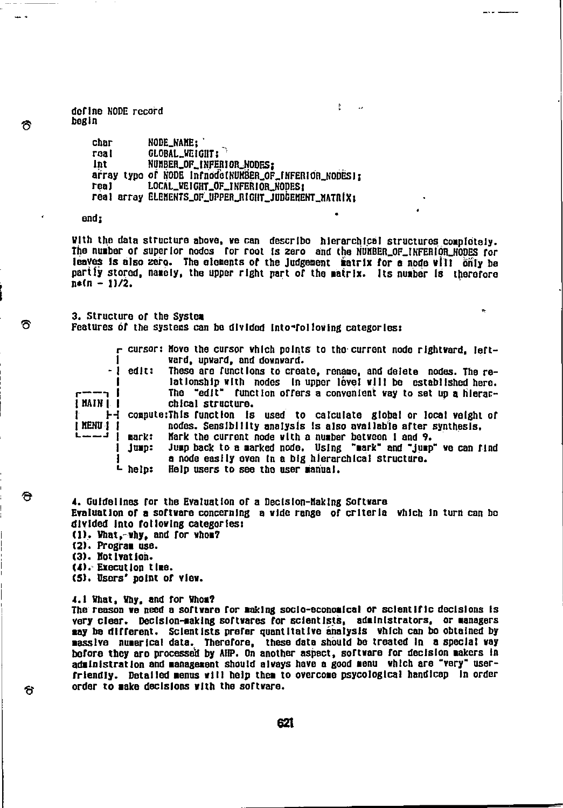define NODE record begin

> char real int array typo of NODE infnodetHUNBSR\_OF\_INFERIOLNODESI; real real array Elements\_Of\_Upper\_Right\_Judgement\_MATRIX; NODE\_NAHE; OLOBAL\_WEIGHT: NUMBER\_OF\_INFERIOR\_NODES; LOCAL\_WEIGHT\_OF\_INFERIOR\_NODES:

end;

ຣ

ਨ

♦

ъ

With the data structure above, we can describe hierarchical structures completely. The number of superior nodes for root Is zero and the NUMBER\_OF\_INFEHIOR\_NODES for leaves is also zero. The elements of the Judgement matrix for a node vill only be partiy stored, namely, the upper right part of the matrix. Its number Is therefore  $n*(n - 1)/2$ .

P.

3. structure of the System Features of the systems can be divided into following categories:

|                   |           | r cursor: Hove the cursor which points to the current node rightward, left-<br>ward, upward, and downward. |
|-------------------|-----------|------------------------------------------------------------------------------------------------------------|
| $-1$              |           | edit: These are functions to create, rename, and delete nodes. The re-                                     |
|                   |           | lationship with nodes in upper level will be established here.                                             |
| $r \rightarrow 1$ |           | The "edit" function offers a convenient way to set up a hierar-                                            |
| I MAIN I          |           | chical structure.                                                                                          |
|                   |           | 1-1 compute:This function is used to calculate global or local veight of                                   |
| <b>I NENU 1 1</b> |           | nodes. Sensibility analysis is also available after synthesis.                                             |
| $i = -1$          | mark:     | Mark the current node with a number between 1 and 9.                                                       |
|                   | Jun:      | Jump back to a marked node. Using "mark" and "jump" we can find                                            |
|                   |           | a node easily even in a big hierarchical structure.                                                        |
|                   | $L$ help: | Help users to see the user manual.                                                                         |
|                   |           |                                                                                                            |

4. Guidelines for the Evaluation of a Declsion-Haking Software Evaluation of a software concerning a wide range of criteria which in turn can be divided Into following categories: (I). What,-mhy, and for whom?

- (2). Program use.
- (3). NotIvation.
- (4): Execution time.
- (5). Users' point of view.
- 4.1 What, Why, and for Whom?

The reason we need a software for making socio-economical or scientific decisions Is very clear. Decision-making softwares for scientists, administrators, or managers may be different. Scientists prefer quantitative analysis which can be obtained by massive numerical data. Therefore, these data should be treated in a special way before they are processed by AHP. On another aspect, software for decision makers In administration and management should always have a good menu which are "very" userfriendly. Detailed menus will help them to overcome psycologIcal handicap In order order to make decisions with the software.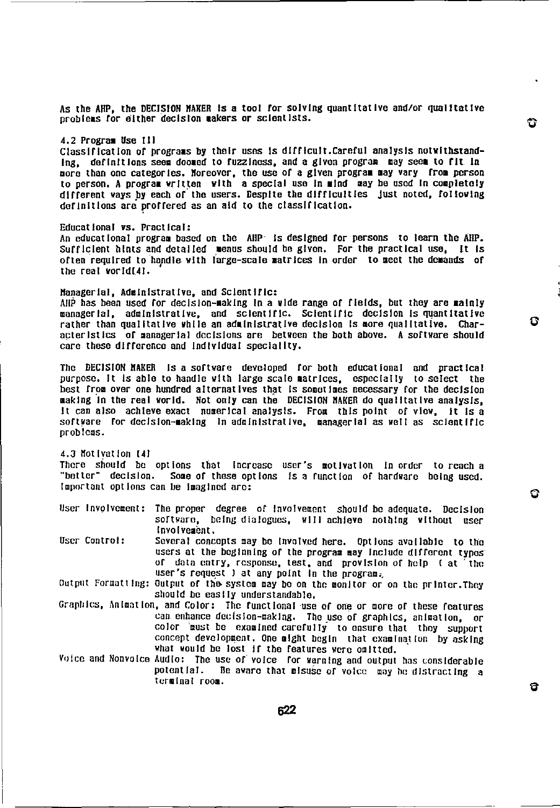As the AMP, the DECISION MAKER IS a tool for solving quantitative and/or qualitative problems for either decision makers or scientists.

# 4.2 Program Use Ill

Classification of programs by their uses Is difficult.Careful analysis notwithstanding, definitions seem doomed to fuzziness, and a given program may seem to fit in more than one categories. Moreover, the use of a given program may vary from person to person. A program written with a special use in mind may be used In completely different ways py each of the users. Despite the difficulties just noted, following definitions are proffered as an aid to the classification.

#### Educational vs. Practical:

An educational program based on the AMP Is designed for persons to learn the AMP. Sufficient hints and detailed menus should be given. For the practical use, It Is often required to handle with large-scale matrices in order to meet the demands of the real world[4].

## Managerial, Administrative, and Scientific:

AMP has been used for decision-making In a wide range of fields, but they are mainly managerial, administrative, and scientific. Scientific decision is quantitative rather than qualitative while an administrative decision Is more qualitative. Characteristics of managerial decisions are between the both above. A software should care these difference and individual speciality.

The DECISION MAKER Is a software developed for both educational and practical purpose. It Is able to handle with large scale matrices, especially to select the best from over one hundred alternatives that is sometimes necessary for the decision making In the real world. Not only can the DECISION MAKER do qualitative analysis, It can also achieve exact numerical analysis. From this point of view, It Is a software for decision-making in administrative, managerial as well as scientific problems.

4.3 Motivation 141 There should be options that increase user's motivation in-order to-reach a<br>"better" decision, Some of these-options is a function of hardware being-used. Some of these options is a function of hardware being used. important options can be imagined are:

User Involvement: The proper degree of Involvement should be adequate. Decision software, being dialogues, will achieve nothing without user I nvolvement.

User Control: Several concepts may be Involved here. Options available to the users at the beginning of the program may include different types of data entry, response, test, and provision of help I at the user's request I at any point in the program.

Output Formatting: Output of the system may be on the monitor or on the printer.They should be easily understandable.

- Graphics, Animation, and Color: The functional use of one or more of these features can enhance decision-making. The use of graphics, animation, or color 'must be examined carefully to ensure that they support concept development. One might begin that examination by asking what would be lost If the features were omitted.
- Voice and Nonvoice Audio: The use of voice for warning and output has considerable<br>potential. Be aware that pisuse of voice may be distracting a potential. Be aware that misuse of voice may he distracting a terminal room.

А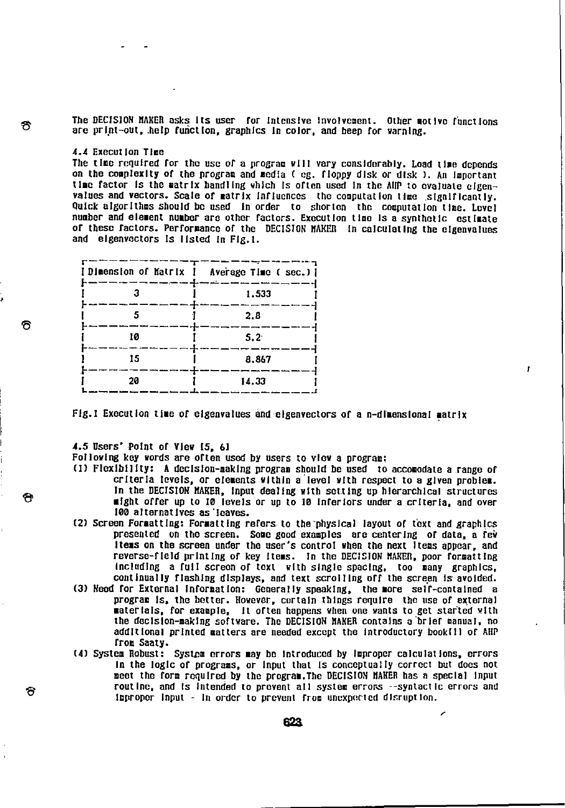The DECISION MAKER asks its user for intensive involvement. Other motive functions are print-out, .help function, graphics in color, and beep for warning.

4.4 Execution Time<br>The time required for the use of a program will vary considerably. Load time depends on the complexity of the program and media ( eg. floppy disk or disk ). An important the factor is the matrix handling which Is often used In the AUP to evaluate elgenvalues and vectors. Scale of matrix influences the computation time significantly. Quick algorithms should be used in order to shorten the computation time. Level number and element number are other factors. Execution time Is a synthetic estimate of these factors. Performance of the DECISION RAKER in calculating the elgenvalues and eigenvectors Is listed In Fig.!.

| [Dimension of Matrix ] Average Time ( sec.) ] |               |
|-----------------------------------------------|---------------|
|                                               | 1.533         |
|                                               | 2.8           |
| 10                                            | $5.2^{\circ}$ |
| 15                                            | 8.867         |
| 20                                            | 14.33         |

Fig.1 Execution time of eigenvalues and eigenvectors of a n-dimensional matrix

4.5 Users' Point of View 15, 61

Following key words are often used by users to view a program:

- (1) Flexibility: A decision-making program should be used to accomodate a range of criteria levels, or elements within a level with respect to a given problem. In the DECISION RAKER, input dealing with setting up hierarchical structures might offer up to 10 levels or up to 10 Inferiors under a criteria, and over 100 alternatives as leaves.
- (2) Screen Formatting: Formatting refers to the physical layout or text and graphics presented on the screen. Some good examples are centering of data, a few Items on the screen under the user's control when the next Items appear, and reverse-field printing of key Items. In the DECISION MAKER, poor formatting InclUdIng a full screen of text with single spacing, too many graphics, continually flashing displays, and text scrolling off the screen is avoided.
- (3) Need for External information: Generally speaking, the more self-contalned a program Is, the better. However, certain things require the use of external materials, for example, It often happens when one wants to get started with the decision-making software. The DECISION RAKER contains a brief manual, no additional printed matters are needed except the introductory book[1] of AHP from Saaty.
- (4) System Robust: System errors may be introduced by improper calculations, errors In the logic of programs, or Input that Is conceptually correct but does not meet the form required by the program.The DECISION MAKER has n special Input routine, and is intended to prevent all system errors --syntactic errors and improper Input - in order to prevent from unexpected disruption.

I.

f.

Ū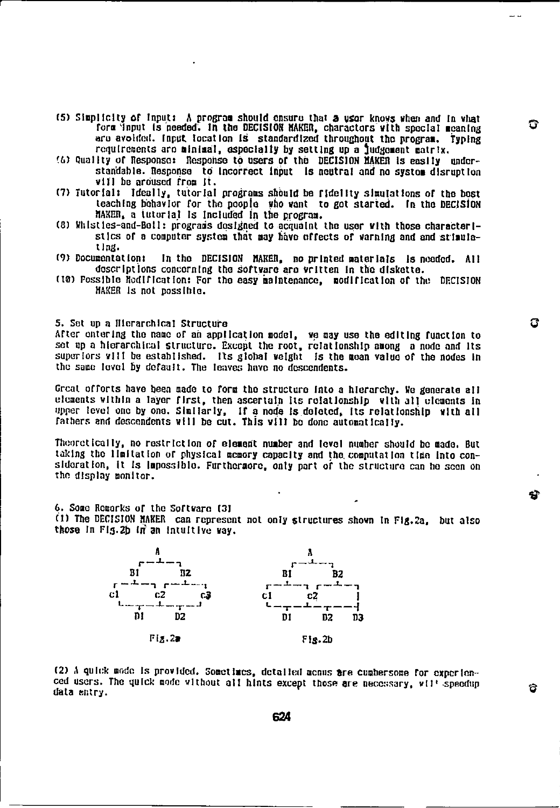(5) Simplicity of Input: A program should ensure that a user knows when and In what form 'input is needed. In the DECISIOR MAKER, charactors with special meaning are avoided. Input location is standardized throughout the program. Typing requirements are minimal, especially by setting up a ludgement matrix.

 $\mathbb{Z}^n$ 

 $\mathbf{S}$ 

ರ

ය

- 16) Quality or Response: Response to users of thb DECISION MAKER Is easily understandable. Response to Incorrect Input Is neutral and no system disruption will be aroused from It.
- (7) Tutorial: Ideally, tutorial programs should be fidelity slmutatIons of the boot teaching behavior for the people who want to got started. in the DECISION MAKER, a tutorial Is Included in the program.
- (81 Vhisties-and-Boll: prograis designed to acquaint the user with those characteristics of a computer system that may have effects of warning and and stimulating.<br>(9) Documentation:
- In the DECISION MAKER, no printed materials is needed. All descriptions concerning the software are written in the diskette.
- (10) Possible Modification: For the easy maintenance, modification of the DECISION MAKER Is not possible.

5. Set up a Hierarchical Structure

After entering the name of ah application model, we may use the editing function to set up a hierarchical structure. Except the root, relationship among a node and Its superiors will be established. Its global weight is the moan value of the nodes in the same level by default. The leaves have no descendents.

Great offorts have been made to form the structure Into a hierarchy. We generate all elements within a layer first, then ascertain Its relationship with all elements in upper level one by one. Similarly, If a node is deleted, its relationship with all fathers and descendents will be cut. This will be done automatically.

Theoretically, no restriction of element number and level number should he made. But taking the limitation or physical memory capacity and the. computation tine into con sideration, it is impossible. Furthermore, only part of the structure can be seen on the display monitor.

0. Some Remarks or the Software (31

(1) The DECISION MAKER can represent not only structures shown In Fig.2a, but also those In Fig. 2b in an intuitive way.



(2) A quick mode is provided. Sometimes, detailed menus are cumbersome for experien-<br>ced users. The quick mode without all hints except those are necessary, will speedup data entry.

624